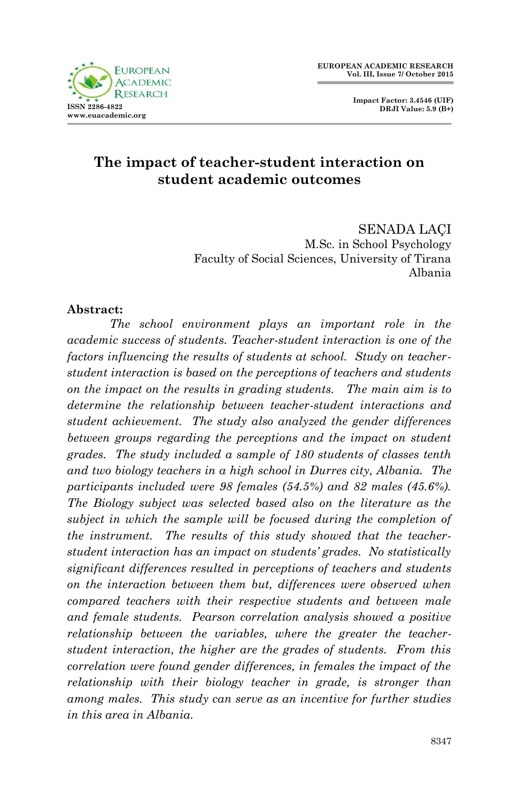



SENADA LAÇI M.Sc. in School Psychology Faculty of Social Sciences, University of Tirana Albania

#### **Abstract:**

*The school environment plays an important role in the academic success of students. Teacher-student interaction is one of the factors influencing the results of students at school. Study on teacherstudent interaction is based on the perceptions of teachers and students on the impact on the results in grading students. The main aim is to determine the relationship between teacher-student interactions and student achievement. The study also analyzed the gender differences between groups regarding the perceptions and the impact on student grades. The study included a sample of 180 students of classes tenth and two biology teachers in a high school in Durres city, Albania. The participants included were 98 females (54.5%) and 82 males (45.6%). The Biology subject was selected based also on the literature as the subject in which the sample will be focused during the completion of the instrument. The results of this study showed that the teacherstudent interaction has an impact on students' grades. No statistically significant differences resulted in perceptions of teachers and students on the interaction between them but, differences were observed when compared teachers with their respective students and between male and female students. Pearson correlation analysis showed a positive relationship between the variables, where the greater the teacherstudent interaction, the higher are the grades of students. From this correlation were found gender differences, in females the impact of the relationship with their biology teacher in grade, is stronger than among males. This study can serve as an incentive for further studies in this area in Albania.*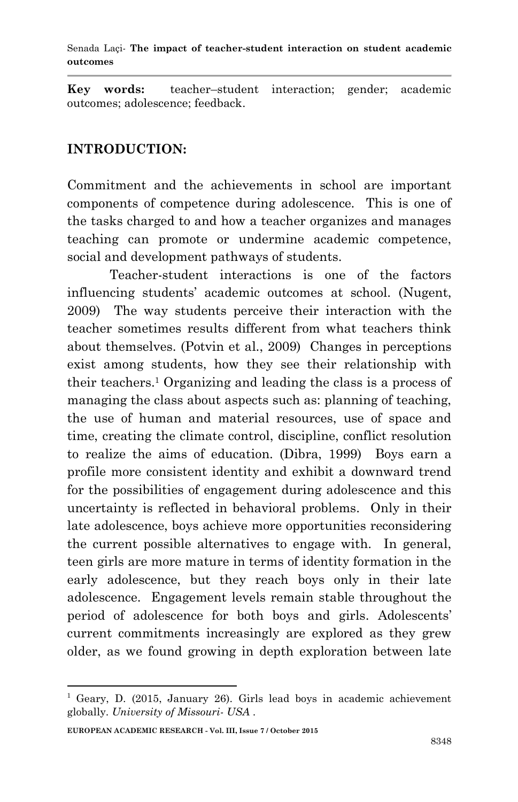**Key words:** teacher–student interaction; gender; academic outcomes; adolescence; feedback.

## **INTRODUCTION:**

Commitment and the achievements in school are important components of competence during adolescence. This is one of the tasks charged to and how a teacher organizes and manages teaching can promote or undermine academic competence, social and development pathways of students.

Teacher-student interactions is one of the factors influencing students' academic outcomes at school. (Nugent, 2009) The way students perceive their interaction with the teacher sometimes results different from what teachers think about themselves. (Potvin et al., 2009) Changes in perceptions exist among students, how they see their relationship with their teachers.<sup>1</sup> Organizing and leading the class is a process of managing the class about aspects such as: planning of teaching, the use of human and material resources, use of space and time, creating the climate control, discipline, conflict resolution to realize the aims of education. (Dibra, 1999) Boys earn a profile more consistent identity and exhibit a downward trend for the possibilities of engagement during adolescence and this uncertainty is reflected in behavioral problems. Only in their late adolescence, boys achieve more opportunities reconsidering the current possible alternatives to engage with. In general, teen girls are more mature in terms of identity formation in the early adolescence, but they reach boys only in their late adolescence. Engagement levels remain stable throughout the period of adolescence for both boys and girls. Adolescents' current commitments increasingly are explored as they grew older, as we found growing in depth exploration between late

1

 $1$  Geary, D. (2015, January 26). Girls lead boys in academic achievement globally. *University of Missouri- USA* .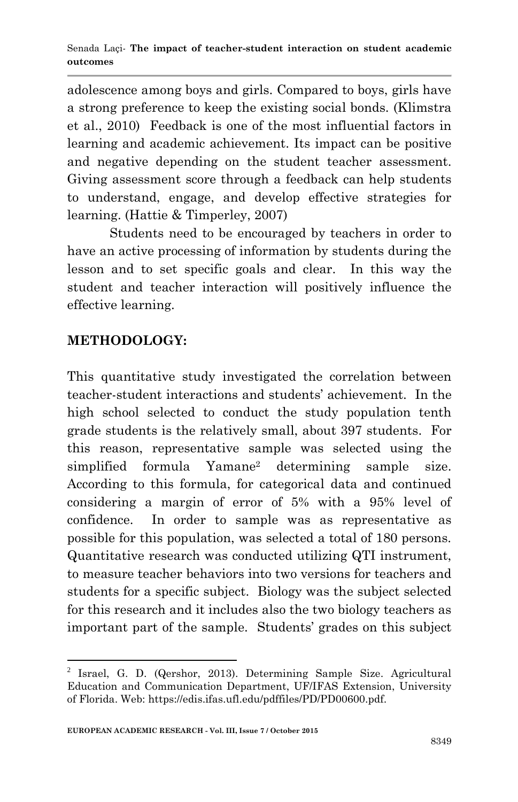adolescence among boys and girls. Compared to boys, girls have a strong preference to keep the existing social bonds. (Klimstra et al., 2010) Feedback is one of the most influential factors in learning and academic achievement. Its impact can be positive and negative depending on the student teacher assessment. Giving assessment score through a feedback can help students to understand, engage, and develop effective strategies for learning. (Hattie & Timperley, 2007)

Students need to be encouraged by teachers in order to have an active processing of information by students during the lesson and to set specific goals and clear. In this way the student and teacher interaction will positively influence the effective learning.

# **METHODOLOGY:**

**.** 

This quantitative study investigated the correlation between teacher-student interactions and students' achievement. In the high school selected to conduct the study population tenth grade students is the relatively small, about 397 students. For this reason, representative sample was selected using the simplified formula Yamane<sup>2</sup> determining sample size. According to this formula, for categorical data and continued considering a margin of error of 5% with a 95% level of confidence. In order to sample was as representative as possible for this population, was selected a total of 180 persons. Quantitative research was conducted utilizing QTI instrument, to measure teacher behaviors into two versions for teachers and students for a specific subject. Biology was the subject selected for this research and it includes also the two biology teachers as important part of the sample. Students' grades on this subject

<sup>&</sup>lt;sup>2</sup> Israel, G. D. (Qershor, 2013). Determining Sample Size. Agricultural Education and Communication Department, UF/IFAS Extension, University of Florida. Web: https://edis.ifas.ufl.edu/pdffiles/PD/PD00600.pdf.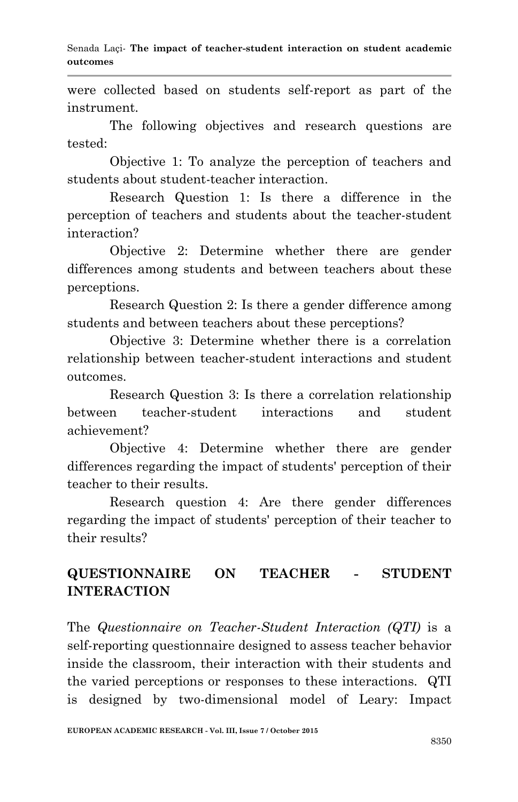were collected based on students self-report as part of the instrument.

The following objectives and research questions are tested:

Objective 1: To analyze the perception of teachers and students about student-teacher interaction.

Research Question 1: Is there a difference in the perception of teachers and students about the teacher-student interaction?

Objective 2: Determine whether there are gender differences among students and between teachers about these perceptions.

Research Question 2: Is there a gender difference among students and between teachers about these perceptions?

Objective 3: Determine whether there is a correlation relationship between teacher-student interactions and student outcomes.

Research Question 3: Is there a correlation relationship between teacher-student interactions and student achievement?

Objective 4: Determine whether there are gender differences regarding the impact of students' perception of their teacher to their results.

Research question 4: Are there gender differences regarding the impact of students' perception of their teacher to their results?

# **QUESTIONNAIRE ON TEACHER - STUDENT INTERACTION**

The *Questionnaire on Teacher-Student Interaction (QTI)* is a self-reporting questionnaire designed to assess teacher behavior inside the classroom, their interaction with their students and the varied perceptions or responses to these interactions. QTI is designed by two-dimensional model of Leary: Impact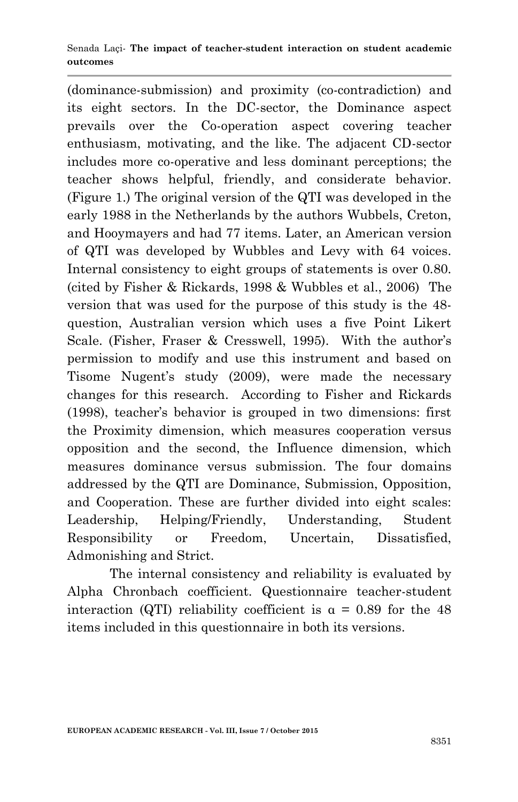(dominance-submission) and proximity (co-contradiction) and its eight sectors. In the DC-sector, the Dominance aspect prevails over the Co-operation aspect covering teacher enthusiasm, motivating, and the like. The adjacent CD-sector includes more co-operative and less dominant perceptions; the teacher shows helpful, friendly, and considerate behavior. (Figure 1.) The original version of the QTI was developed in the early 1988 in the Netherlands by the authors Wubbels, Creton, and Hooymayers and had 77 items. Later, an American version of QTI was developed by Wubbles and Levy with 64 voices. Internal consistency to eight groups of statements is over 0.80. (cited by Fisher & Rickards, 1998 & Wubbles et al., 2006) The version that was used for the purpose of this study is the 48 question, Australian version which uses a five Point Likert Scale. (Fisher, Fraser & Cresswell, 1995). With the author's permission to modify and use this instrument and based on Tisome Nugent's study (2009), were made the necessary changes for this research. According to Fisher and Rickards (1998), teacher's behavior is grouped in two dimensions: first the Proximity dimension, which measures cooperation versus opposition and the second, the Influence dimension, which measures dominance versus submission. The four domains addressed by the QTI are Dominance, Submission, Opposition, and Cooperation. These are further divided into eight scales: Leadership, Helping/Friendly, Understanding, Student Responsibility or Freedom, Uncertain, Dissatisfied, Admonishing and Strict.

The internal consistency and reliability is evaluated by Alpha Chronbach coefficient. Questionnaire teacher-student interaction (QTI) reliability coefficient is  $\alpha = 0.89$  for the 48 items included in this questionnaire in both its versions.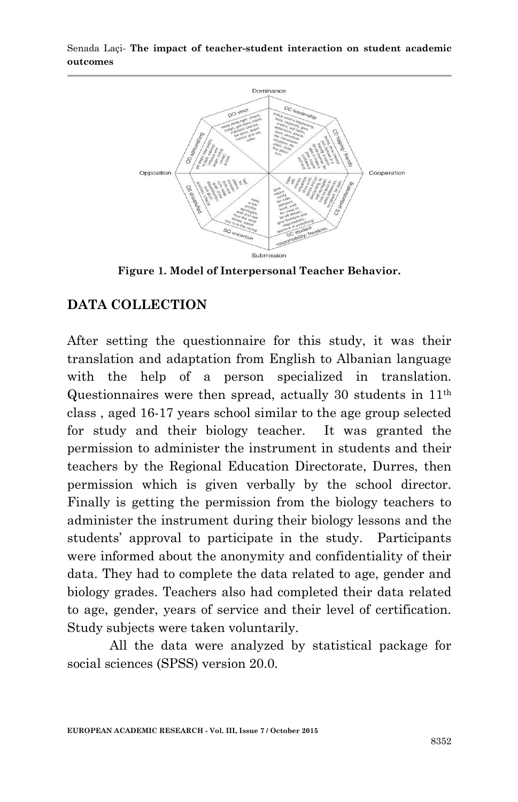

**Figure 1. Model of Interpersonal Teacher Behavior.**

#### **DATA COLLECTION**

After setting the questionnaire for this study, it was their translation and adaptation from English to Albanian language with the help of a person specialized in translation. Questionnaires were then spread, actually 30 students in 11th class , aged 16-17 years school similar to the age group selected for study and their biology teacher. It was granted the permission to administer the instrument in students and their teachers by the Regional Education Directorate, Durres, then permission which is given verbally by the school director. Finally is getting the permission from the biology teachers to administer the instrument during their biology lessons and the students' approval to participate in the study. Participants were informed about the anonymity and confidentiality of their data. They had to complete the data related to age, gender and biology grades. Teachers also had completed their data related to age, gender, years of service and their level of certification. Study subjects were taken voluntarily.

All the data were analyzed by statistical package for social sciences (SPSS) version 20.0.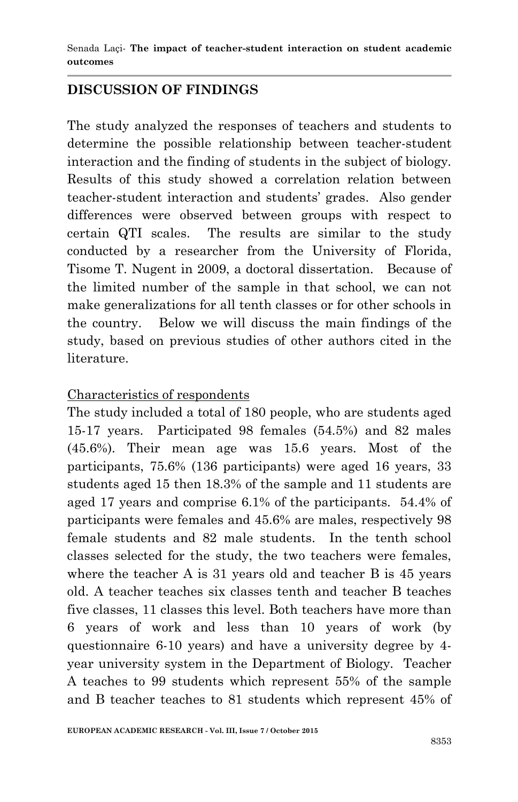## **DISCUSSION OF FINDINGS**

The study analyzed the responses of teachers and students to determine the possible relationship between teacher-student interaction and the finding of students in the subject of biology. Results of this study showed a correlation relation between teacher-student interaction and students' grades. Also gender differences were observed between groups with respect to certain QTI scales. The results are similar to the study conducted by a researcher from the University of Florida, Tisome T. Nugent in 2009, a doctoral dissertation. Because of the limited number of the sample in that school, we can not make generalizations for all tenth classes or for other schools in the country. Below we will discuss the main findings of the study, based on previous studies of other authors cited in the literature.

#### Characteristics of respondents

The study included a total of 180 people, who are students aged 15-17 years. Participated 98 females (54.5%) and 82 males (45.6%). Their mean age was 15.6 years. Most of the participants, 75.6% (136 participants) were aged 16 years, 33 students aged 15 then 18.3% of the sample and 11 students are aged 17 years and comprise 6.1% of the participants. 54.4% of participants were females and 45.6% are males, respectively 98 female students and 82 male students. In the tenth school classes selected for the study, the two teachers were females, where the teacher A is 31 years old and teacher B is 45 years old. A teacher teaches six classes tenth and teacher B teaches five classes, 11 classes this level. Both teachers have more than 6 years of work and less than 10 years of work (by questionnaire 6-10 years) and have a university degree by 4 year university system in the Department of Biology. Teacher A teaches to 99 students which represent 55% of the sample and B teacher teaches to 81 students which represent 45% of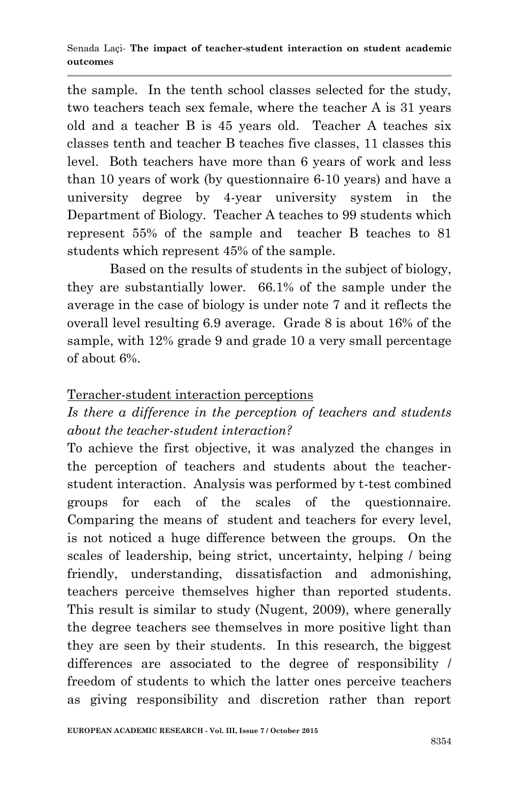the sample. In the tenth school classes selected for the study, two teachers teach sex female, where the teacher A is 31 years old and a teacher B is 45 years old. Teacher A teaches six classes tenth and teacher B teaches five classes, 11 classes this level. Both teachers have more than 6 years of work and less than 10 years of work (by questionnaire 6-10 years) and have a university degree by 4-year university system in the Department of Biology. Teacher A teaches to 99 students which represent 55% of the sample and teacher B teaches to 81 students which represent 45% of the sample.

Based on the results of students in the subject of biology, they are substantially lower. 66.1% of the sample under the average in the case of biology is under note 7 and it reflects the overall level resulting 6.9 average. Grade 8 is about 16% of the sample, with 12% grade 9 and grade 10 a very small percentage of about 6%.

## Teracher-student interaction perceptions

# *Is there a difference in the perception of teachers and students about the teacher-student interaction?*

To achieve the first objective, it was analyzed the changes in the perception of teachers and students about the teacherstudent interaction. Analysis was performed by t-test combined groups for each of the scales of the questionnaire. Comparing the means of student and teachers for every level, is not noticed a huge difference between the groups. On the scales of leadership, being strict, uncertainty, helping / being friendly, understanding, dissatisfaction and admonishing, teachers perceive themselves higher than reported students. This result is similar to study (Nugent, 2009), where generally the degree teachers see themselves in more positive light than they are seen by their students. In this research, the biggest differences are associated to the degree of responsibility / freedom of students to which the latter ones perceive teachers as giving responsibility and discretion rather than report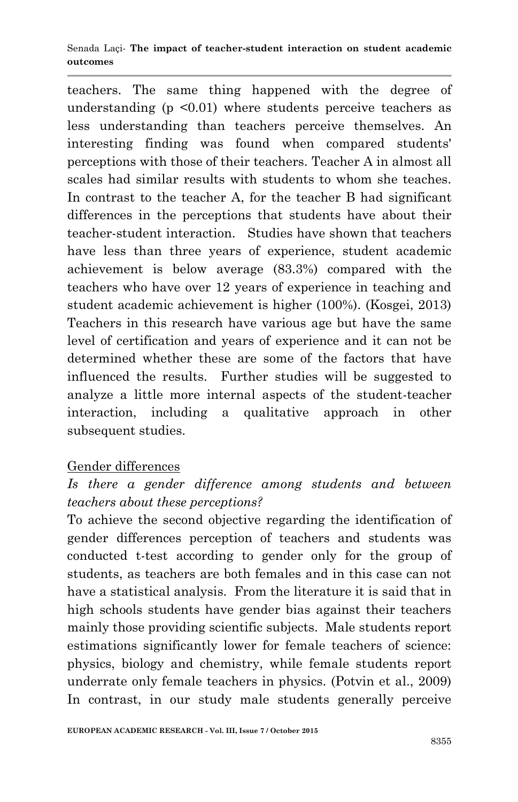teachers. The same thing happened with the degree of understanding  $(p \le 0.01)$  where students perceive teachers as less understanding than teachers perceive themselves. An interesting finding was found when compared students' perceptions with those of their teachers. Teacher A in almost all scales had similar results with students to whom she teaches. In contrast to the teacher A, for the teacher B had significant differences in the perceptions that students have about their teacher-student interaction. Studies have shown that teachers have less than three years of experience, student academic achievement is below average (83.3%) compared with the teachers who have over 12 years of experience in teaching and student academic achievement is higher (100%). (Kosgei, 2013) Teachers in this research have various age but have the same level of certification and years of experience and it can not be determined whether these are some of the factors that have influenced the results. Further studies will be suggested to analyze a little more internal aspects of the student-teacher interaction, including a qualitative approach in other subsequent studies.

## Gender differences

# *Is there a gender difference among students and between teachers about these perceptions?*

To achieve the second objective regarding the identification of gender differences perception of teachers and students was conducted t-test according to gender only for the group of students, as teachers are both females and in this case can not have a statistical analysis. From the literature it is said that in high schools students have gender bias against their teachers mainly those providing scientific subjects. Male students report estimations significantly lower for female teachers of science: physics, biology and chemistry, while female students report underrate only female teachers in physics. (Potvin et al., 2009) In contrast, in our study male students generally perceive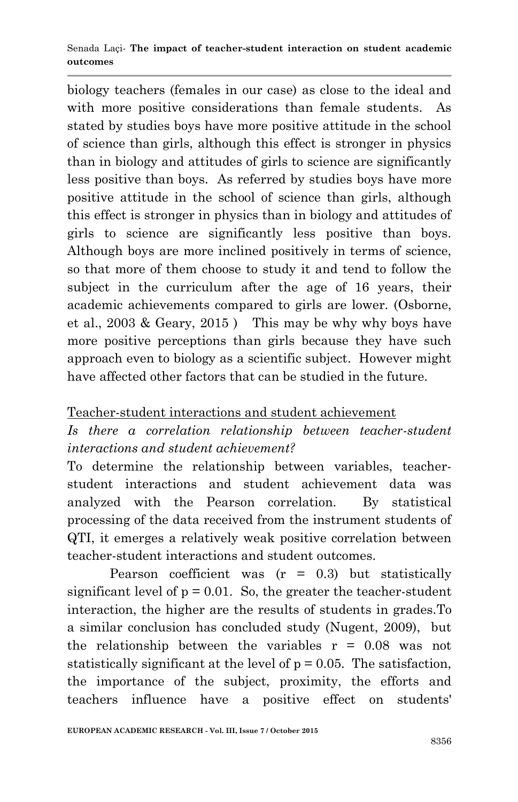biology teachers (females in our case) as close to the ideal and with more positive considerations than female students. As stated by studies boys have more positive attitude in the school of science than girls, although this effect is stronger in physics than in biology and attitudes of girls to science are significantly less positive than boys. As referred by studies boys have more positive attitude in the school of science than girls, although this effect is stronger in physics than in biology and attitudes of girls to science are significantly less positive than boys. Although boys are more inclined positively in terms of science, so that more of them choose to study it and tend to follow the subject in the curriculum after the age of 16 years, their academic achievements compared to girls are lower. (Osborne, et al., 2003 & Geary, 2015 )This may be why why boys have more positive perceptions than girls because they have such approach even to biology as a scientific subject. However might have affected other factors that can be studied in the future.

## Teacher-student interactions and student achievement

# *Is there a correlation relationship between teacher-student interactions and student achievement?*

To determine the relationship between variables, teacherstudent interactions and student achievement data was analyzed with the Pearson correlation. By statistical processing of the data received from the instrument students of QTI, it emerges a relatively weak positive correlation between teacher-student interactions and student outcomes.

Pearson coefficient was  $(r = 0.3)$  but statistically significant level of  $p = 0.01$ . So, the greater the teacher-student interaction, the higher are the results of students in grades.To a similar conclusion has concluded study (Nugent, 2009), but the relationship between the variables  $r = 0.08$  was not statistically significant at the level of  $p = 0.05$ . The satisfaction, the importance of the subject, proximity, the efforts and teachers influence have a positive effect on students'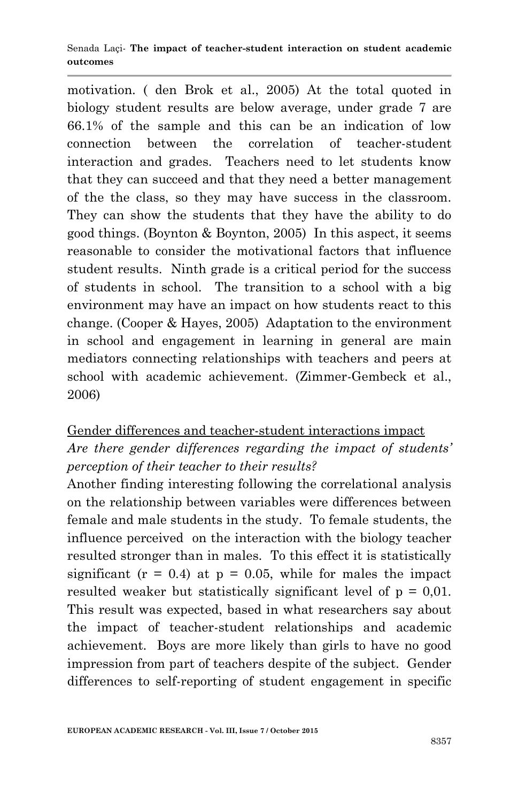motivation. ( den Brok et al., 2005) At the total quoted in biology student results are below average, under grade 7 are 66.1% of the sample and this can be an indication of low connection between the correlation of teacher-student interaction and grades. Teachers need to let students know that they can succeed and that they need a better management of the the class, so they may have success in the classroom. They can show the students that they have the ability to do good things. (Boynton & Boynton, 2005) In this aspect, it seems reasonable to consider the motivational factors that influence student results. Ninth grade is a critical period for the success of students in school. The transition to a school with a big environment may have an impact on how students react to this change. (Cooper & Hayes, 2005) Adaptation to the environment in school and engagement in learning in general are main mediators connecting relationships with teachers and peers at school with academic achievement. (Zimmer-Gembeck et al., 2006)

# Gender differences and teacher-student interactions impact *Are there gender differences regarding the impact of students' perception of their teacher to their results?*

Another finding interesting following the correlational analysis on the relationship between variables were differences between female and male students in the study. To female students, the influence perceived on the interaction with the biology teacher resulted stronger than in males. To this effect it is statistically significant ( $r = 0.4$ ) at  $p = 0.05$ , while for males the impact resulted weaker but statistically significant level of  $p = 0.01$ . This result was expected, based in what researchers say about the impact of teacher-student relationships and academic achievement. Boys are more likely than girls to have no good impression from part of teachers despite of the subject. Gender differences to self-reporting of student engagement in specific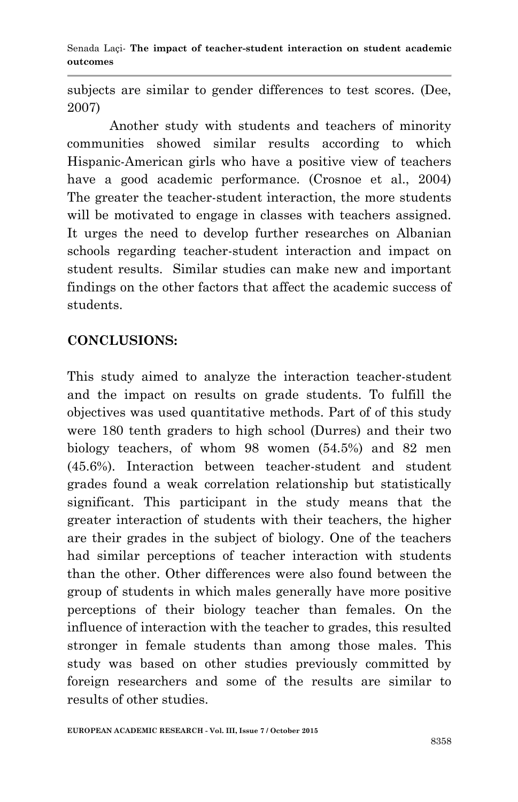subjects are similar to gender differences to test scores. (Dee, 2007)

Another study with students and teachers of minority communities showed similar results according to which Hispanic-American girls who have a positive view of teachers have a good academic performance. (Crosnoe et al., 2004) The greater the teacher-student interaction, the more students will be motivated to engage in classes with teachers assigned. It urges the need to develop further researches on Albanian schools regarding teacher-student interaction and impact on student results. Similar studies can make new and important findings on the other factors that affect the academic success of students.

# **CONCLUSIONS:**

This study aimed to analyze the interaction teacher-student and the impact on results on grade students. To fulfill the objectives was used quantitative methods. Part of of this study were 180 tenth graders to high school (Durres) and their two biology teachers, of whom 98 women (54.5%) and 82 men (45.6%). Interaction between teacher-student and student grades found a weak correlation relationship but statistically significant. This participant in the study means that the greater interaction of students with their teachers, the higher are their grades in the subject of biology. One of the teachers had similar perceptions of teacher interaction with students than the other. Other differences were also found between the group of students in which males generally have more positive perceptions of their biology teacher than females. On the influence of interaction with the teacher to grades, this resulted stronger in female students than among those males. This study was based on other studies previously committed by foreign researchers and some of the results are similar to results of other studies.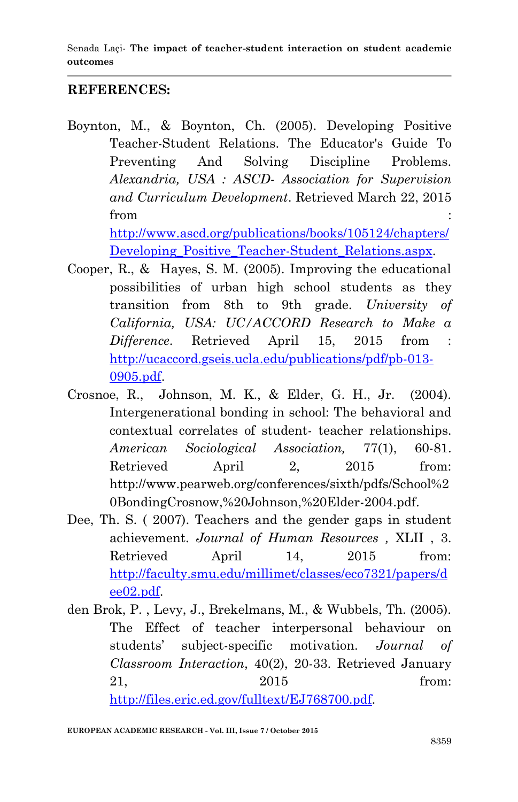# **REFERENCES:**

- Boynton, M., & Boynton, Ch. (2005). Developing Positive Teacher-Student Relations. The Educator's Guide To Preventing And Solving Discipline Problems. *Alexandria, USA : ASCD- Association for Supervision and Curriculum Development*. Retrieved March 22, 2015 from  $\blacksquare$ [http://www.ascd.org/publications/books/105124/chapters/](http://www.ascd.org/publications/books/105124/chapters/Developing_Positive_Teacher-Student_Relations.aspx) Developing Positive Teacher-Student Relations.aspx.
- Cooper, R., & Hayes, S. M. (2005). Improving the educational possibilities of urban high school students as they transition from 8th to 9th grade. *University of California, USA: UC/ACCORD Research to Make a Difference*. Retrieved April 15, 2015 from : [http://ucaccord.gseis.ucla.edu/publications/pdf/pb-013-](http://ucaccord.gseis.ucla.edu/publications/pdf/pb-013-0905.pdf) [0905.pdf.](http://ucaccord.gseis.ucla.edu/publications/pdf/pb-013-0905.pdf)
- Crosnoe, R., Johnson, M. K., & Elder, G. H., Jr. (2004). Intergenerational bonding in school: The behavioral and contextual correlates of student- teacher relationships. *American Sociological Association,* 77(1), 60-81. Retrieved April 2, 2015 from: http://www.pearweb.org/conferences/sixth/pdfs/School%2 0BondingCrosnow,%20Johnson,%20Elder-2004.pdf.
- Dee, Th. S. ( 2007). Teachers and the gender gaps in student achievement. *Journal of Human Resources ,* XLII , 3. Retrieved April 14, 2015 from: [http://faculty.smu.edu/millimet/classes/eco7321/papers/d](http://faculty.smu.edu/millimet/classes/eco7321/papers/dee02.pdf) [ee02.pdf.](http://faculty.smu.edu/millimet/classes/eco7321/papers/dee02.pdf)
- den Brok, P. , Levy, J., Brekelmans, M., & Wubbels, Th. (2005). The Effect of teacher interpersonal behaviour on students' subject-specific motivation. *Journal of Classroom Interaction*, 40(2), 20-33. Retrieved January 21, 2015 from:

[http://files.eric.ed.gov/fulltext/EJ768700.pdf.](http://files.eric.ed.gov/fulltext/EJ768700.pdf)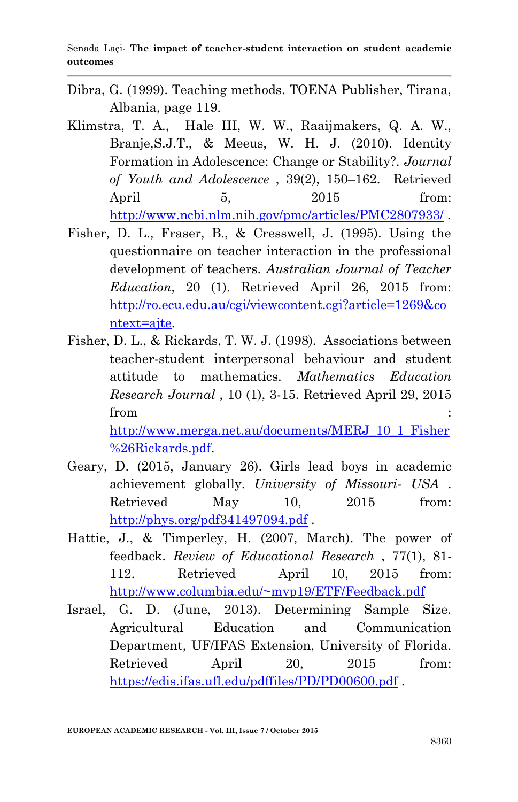- Dibra, G. (1999). Teaching methods. TOENA Publisher, Tirana, Albania, page 119.
- Klimstra, T. A., Hale III, W. W., Raaijmakers, Q. A. W., Branje,S.J.T., & Meeus, W. H. J. (2010). Identity Formation in Adolescence: Change or Stability?. *Journal of Youth and Adolescence* , 39(2), 150–162. Retrieved April 5, 2015 from: <http://www.ncbi.nlm.nih.gov/pmc/articles/PMC2807933/> .
- Fisher, D. L., Fraser, B., & Cresswell, J. (1995). Using the questionnaire on teacher interaction in the professional development of teachers. *Australian Journal of Teacher Education*, 20 (1). Retrieved April 26, 2015 from: [http://ro.ecu.edu.au/cgi/viewcontent.cgi?article=1269&co](http://ro.ecu.edu.au/cgi/viewcontent.cgi?article=1269&context=ajte) [ntext=ajte.](http://ro.ecu.edu.au/cgi/viewcontent.cgi?article=1269&context=ajte)
- Fisher, D. L., & Rickards, T. W. J. (1998). Associations between teacher-student interpersonal behaviour and student attitude to mathematics. *Mathematics Education Research Journal* , 10 (1), 3-15. Retrieved April 29, 2015 from  $\blacksquare$ [http://www.merga.net.au/documents/MERJ\\_10\\_1\\_Fisher](http://www.merga.net.au/documents/MERJ_10_1_Fisher%26Rickards.pdf)

[%26Rickards.pdf.](http://www.merga.net.au/documents/MERJ_10_1_Fisher%26Rickards.pdf)

- Geary, D. (2015, January 26). Girls lead boys in academic achievement globally. *University of Missouri- USA* . Retrieved May 10, 2015 from: <http://phys.org/pdf341497094.pdf> .
- Hattie, J., & Timperley, H. (2007, March). The power of feedback. *Review of Educational Research* , 77(1), 81- 112. Retrieved April 10, 2015 from: <http://www.columbia.edu/~mvp19/ETF/Feedback.pdf>
- Israel, G. D. (June, 2013). Determining Sample Size. Agricultural Education and Communication Department, UF/IFAS Extension, University of Florida. Retrieved April 20, 2015 from: <https://edis.ifas.ufl.edu/pdffiles/PD/PD00600.pdf> .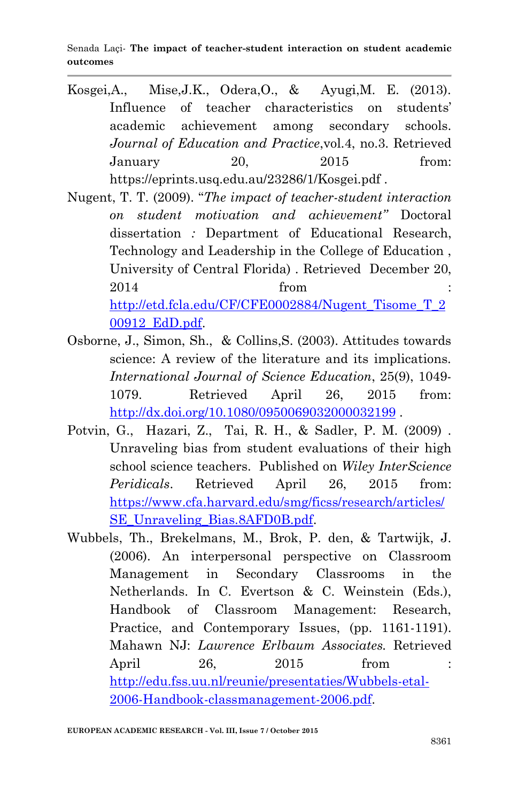Senada Laçi*-* **The impact of teacher-student interaction on student academic outcomes** 

- Kosgei,A., Mise,J.K., Odera,O., & Ayugi,M. E. (2013). Influence of teacher characteristics on students' academic achievement among secondary schools. *Journal of Education and Practice*,vol.4, no.3. Retrieved January 20, 2015 from: https://eprints.usq.edu.au/23286/1/Kosgei.pdf .
- Nugent, T. T. (2009). "*The impact of teacher-student interaction on student motivation and achievement"* Doctoral dissertation *:* Department of Educational Research, Technology and Leadership in the College of Education , University of Central Florida) . Retrieved December 20, 2014 **from** : [http://etd.fcla.edu/CF/CFE0002884/Nugent\\_Tisome\\_T\\_2](http://etd.fcla.edu/CF/CFE0002884/Nugent_Tisome_T_200912_EdD.pdf) [00912\\_EdD.pdf.](http://etd.fcla.edu/CF/CFE0002884/Nugent_Tisome_T_200912_EdD.pdf)
- Osborne, J., Simon, Sh., & Collins,S. (2003). Attitudes towards science: A review of the literature and its implications. *International Journal of Science Education*, 25(9), 1049- 1079. Retrieved April 26, 2015 from: <http://dx.doi.org/10.1080/0950069032000032199>
- Potvin, G., Hazari, Z., Tai, R. H., & Sadler, P. M. (2009) . Unraveling bias from student evaluations of their high school science teachers. Published on *Wiley InterScience Peridicals*. Retrieved April 26, 2015 from: [https://www.cfa.harvard.edu/smg/ficss/research/articles/](https://www.cfa.harvard.edu/smg/ficss/research/articles/SE_Unraveling_Bias.8AFD0B.pdf) SE Unraveling Bias.8AFD0B.pdf.
- Wubbels, Th., Brekelmans, M., Brok, P. den, & Tartwijk, J. (2006). An interpersonal perspective on Classroom Management in Secondary Classrooms in the Netherlands. In C. Evertson & C. Weinstein (Eds.), Handbook of Classroom Management: Research, Practice, and Contemporary Issues, (pp. 1161-1191). Mahawn NJ: *Lawrence Erlbaum Associates.* Retrieved April 26, 2015 from : [http://edu.fss.uu.nl/reunie/presentaties/Wubbels-etal-](http://edu.fss.uu.nl/reunie/presentaties/Wubbels-etal-2006-Handbook-classmanagement-2006.pdf)[2006-Handbook-classmanagement-2006.pdf.](http://edu.fss.uu.nl/reunie/presentaties/Wubbels-etal-2006-Handbook-classmanagement-2006.pdf)